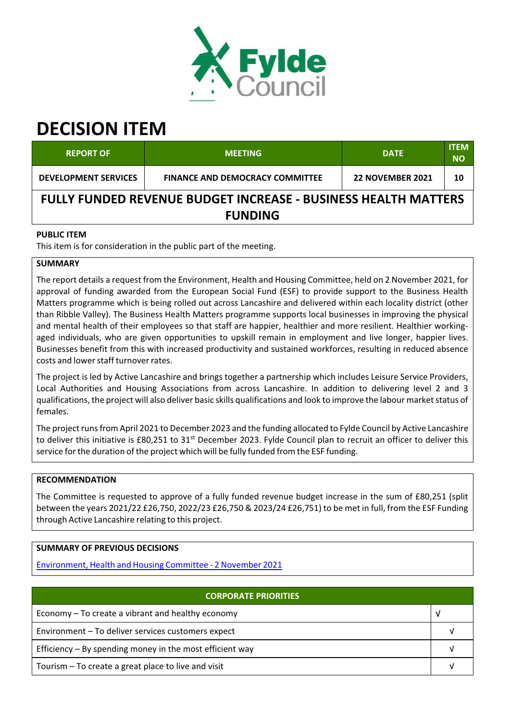

# **DECISION ITEM**

| <b>REPORT OF</b>                                                      | <b>MEETING</b>                         | <b>DATE</b>             | <b>ITEM</b><br><b>NO</b> |  |  |
|-----------------------------------------------------------------------|----------------------------------------|-------------------------|--------------------------|--|--|
| <b>DEVELOPMENT SERVICES</b>                                           | <b>FINANCE AND DEMOCRACY COMMITTEE</b> | <b>22 NOVEMBER 2021</b> | 10                       |  |  |
| <b>FULLY FUNDED REVENUE BUDGET INCREASE - BUSINESS HEALTH MATTERS</b> |                                        |                         |                          |  |  |
| <b>FUNDING</b>                                                        |                                        |                         |                          |  |  |

## **PUBLIC ITEM**

This item is for consideration in the public part of the meeting.

## **SUMMARY**

The report details a request from the Environment, Health and Housing Committee, held on 2 November 2021, for approval of funding awarded from the European Social Fund (ESF) to provide support to the Business Health Matters programme which is being rolled out across Lancashire and delivered within each locality district (other than Ribble Valley). The Business Health Matters programme supports local businesses in improving the physical and mental health of their employees so that staff are happier, healthier and more resilient. Healthier workingaged individuals, who are given opportunities to upskill remain in employment and live longer, happier lives. Businesses benefit from this with increased productivity and sustained workforces, resulting in reduced absence costs and lower staff turnover rates.

The project is led by Active Lancashire and brings together a partnership which includes Leisure Service Providers, Local Authorities and Housing Associations from across Lancashire. In addition to delivering level 2 and 3 qualifications, the project will also deliver basic skills qualifications and look to improve the labour market status of females.

The project runs from April 2021 to December 2023 and the funding allocated to Fylde Council by Active Lancashire to deliver this initiative is £80,251 to 31<sup>st</sup> December 2023. Fylde Council plan to recruit an officer to deliver this service forthe duration of the project which will be fully funded from the ESF funding.

## **RECOMMENDATION**

The Committee is requested to approve of a fully funded revenue budget increase in the sum of £80,251 (split between the years 2021/22 £26,750, 2022/23 £26,750 & 2023/24 £26,751) to be met in full, from the ESF Funding through Active Lancashire relating to this project.

## **SUMMARY OF PREVIOUS DECISIONS**

Environment, Health and Housing Committee ‐ 2 November 2021

| <b>CORPORATE PRIORITIES</b>                                |  |  |
|------------------------------------------------------------|--|--|
| Economy – To create a vibrant and healthy economy          |  |  |
| Environment - To deliver services customers expect         |  |  |
| Efficiency $-$ By spending money in the most efficient way |  |  |
| Tourism – To create a great place to live and visit        |  |  |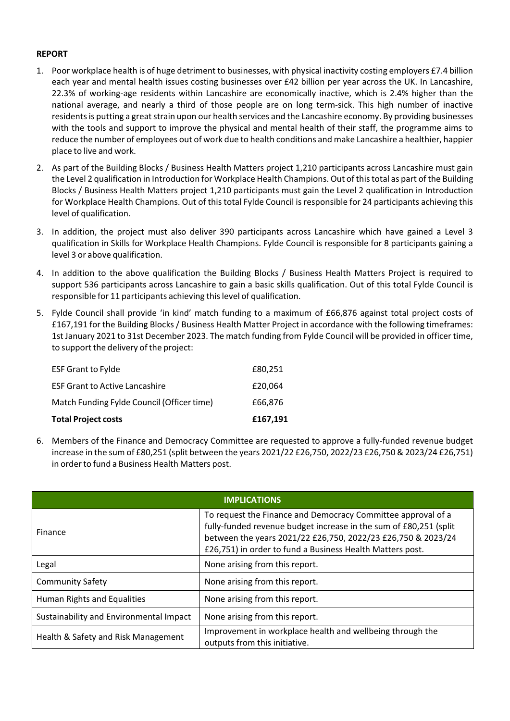### **REPORT**

- 1. Poor workplace health is of huge detriment to businesses, with physical inactivity costing employers £7.4 billion each year and mental health issues costing businesses over £42 billion per year across the UK. In Lancashire, 22.3% of working‐age residents within Lancashire are economically inactive, which is 2.4% higher than the national average, and nearly a third of those people are on long term‐sick. This high number of inactive residents is putting a great strain upon our health services and the Lancashire economy. By providing businesses with the tools and support to improve the physical and mental health of their staff, the programme aims to reduce the number of employees out of work due to health conditions and make Lancashire a healthier, happier place to live and work.
- 2. As part of the Building Blocks / Business Health Matters project 1,210 participants across Lancashire must gain the Level 2 qualification in Introduction for Workplace Health Champions. Out of thistotal as part of the Building Blocks / Business Health Matters project 1,210 participants must gain the Level 2 qualification in Introduction for Workplace Health Champions. Out of thistotal Fylde Council isresponsible for 24 participants achieving this level of qualification.
- 3. In addition, the project must also deliver 390 participants across Lancashire which have gained a Level 3 qualification in Skills for Workplace Health Champions. Fylde Council is responsible for 8 participants gaining a level 3 or above qualification.
- 4. In addition to the above qualification the Building Blocks / Business Health Matters Project is required to support 536 participants across Lancashire to gain a basic skills qualification. Out of this total Fylde Council is responsible for 11 participants achieving thislevel of qualification.
- 5. Fylde Council shall provide 'in kind' match funding to a maximum of £66,876 against total project costs of £167,191 for the Building Blocks / Business Health Matter Project in accordance with the following timeframes: 1st January 2021 to 31st December 2023. The match funding from Fylde Council will be provided in officer time, to support the delivery of the project:

| <b>Total Project costs</b>                 | £167,191 |
|--------------------------------------------|----------|
| Match Funding Fylde Council (Officer time) | £66.876  |
| <b>ESF Grant to Active Lancashire</b>      | £20,064  |
| <b>ESF Grant to Fylde</b>                  | £80,251  |

6. Members of the Finance and Democracy Committee are requested to approve a fully‐funded revenue budget increase in the sum of £80,251 (split between the years 2021/22 £26,750, 2022/23 £26,750 & 2023/24 £26,751) in order to fund a Business Health Matters post.

| <b>IMPLICATIONS</b>                     |                                                                                                                                                                                                                                                                |  |  |  |
|-----------------------------------------|----------------------------------------------------------------------------------------------------------------------------------------------------------------------------------------------------------------------------------------------------------------|--|--|--|
| Finance                                 | To request the Finance and Democracy Committee approval of a<br>fully-funded revenue budget increase in the sum of £80,251 (split<br>between the years 2021/22 £26,750, 2022/23 £26,750 & 2023/24<br>£26,751) in order to fund a Business Health Matters post. |  |  |  |
| Legal                                   | None arising from this report.                                                                                                                                                                                                                                 |  |  |  |
| <b>Community Safety</b>                 | None arising from this report.                                                                                                                                                                                                                                 |  |  |  |
| Human Rights and Equalities             | None arising from this report.                                                                                                                                                                                                                                 |  |  |  |
| Sustainability and Environmental Impact | None arising from this report.                                                                                                                                                                                                                                 |  |  |  |
| Health & Safety and Risk Management     | Improvement in workplace health and wellbeing through the<br>outputs from this initiative.                                                                                                                                                                     |  |  |  |